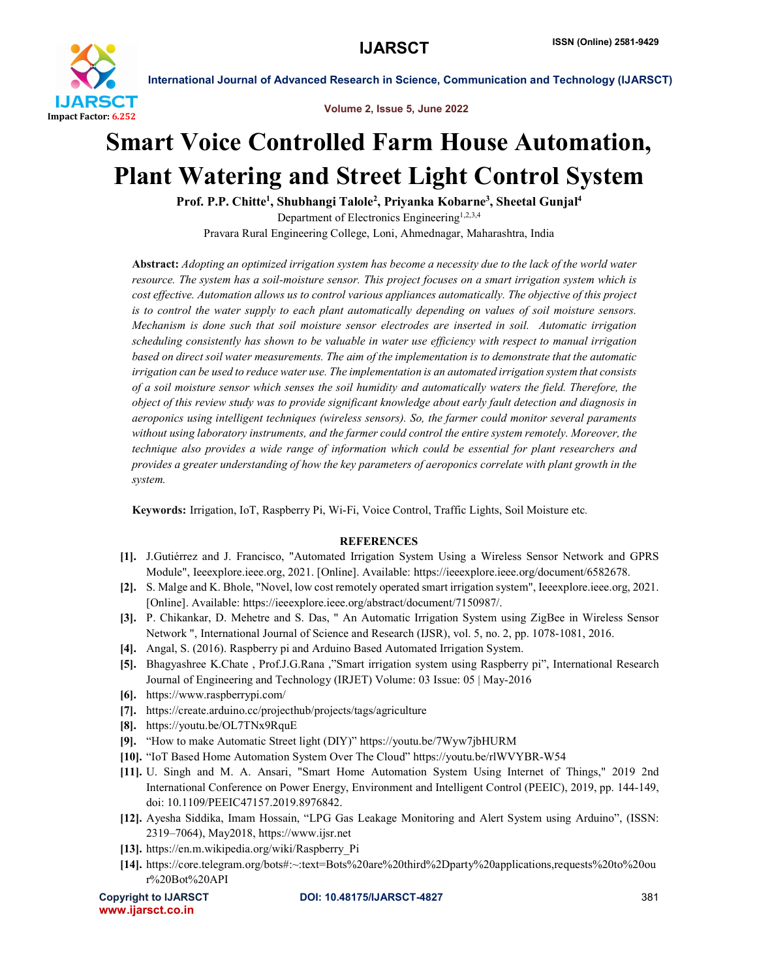

International Journal of Advanced Research in Science, Communication and Technology (IJARSCT)



## Smart Voice Controlled Farm House Automation, Plant Watering and Street Light Control System

Prof. P.P. Chitte<sup>1</sup>, Shubhangi Talole<sup>2</sup>, Priyanka Kobarne<sup>3</sup>, Sheetal Gunjal<sup>4</sup> Department of Electronics Engineering<sup>1,2,3,4</sup> Pravara Rural Engineering College, Loni, Ahmednagar, Maharashtra, India

Abstract: *Adopting an optimized irrigation system has become a necessity due to the lack of the world water resource. The system has a soil-moisture sensor. This project focuses on a smart irrigation system which is cost effective. Automation allows us to control various appliances automatically. The objective of this project is to control the water supply to each plant automatically depending on values of soil moisture sensors. Mechanism is done such that soil moisture sensor electrodes are inserted in soil. Automatic irrigation scheduling consistently has shown to be valuable in water use efficiency with respect to manual irrigation based on direct soil water measurements. The aim of the implementation is to demonstrate that the automatic irrigation can be used to reduce water use. The implementation is an automated irrigation system that consists of a soil moisture sensor which senses the soil humidity and automatically waters the field. Therefore, the object of this review study was to provide significant knowledge about early fault detection and diagnosis in aeroponics using intelligent techniques (wireless sensors). So, the farmer could monitor several paraments without using laboratory instruments, and the farmer could control the entire system remotely. Moreover, the technique also provides a wide range of information which could be essential for plant researchers and provides a greater understanding of how the key parameters of aeroponics correlate with plant growth in the system.*

Keywords: Irrigation, IoT, Raspberry Pi, Wi-Fi, Voice Control, Traffic Lights, Soil Moisture etc*.*

## **REFERENCES**

- [1]. J.Gutiérrez and J. Francisco, "Automated Irrigation System Using a Wireless Sensor Network and GPRS Module", Ieeexplore.ieee.org, 2021. [Online]. Available: https://ieeexplore.ieee.org/document/6582678.
- [2]. S. Malge and K. Bhole, "Novel, low cost remotely operated smart irrigation system", Ieeexplore.ieee.org, 2021. [Online]. Available: https://ieeexplore.ieee.org/abstract/document/7150987/.
- [3]. P. Chikankar, D. Mehetre and S. Das, " An Automatic Irrigation System using ZigBee in Wireless Sensor Network ", International Journal of Science and Research (IJSR), vol. 5, no. 2, pp. 1078-1081, 2016.
- [4]. Angal, S. (2016). Raspberry pi and Arduino Based Automated Irrigation System.
- [5]. Bhagyashree K.Chate , Prof.J.G.Rana ,"Smart irrigation system using Raspberry pi", International Research Journal of Engineering and Technology (IRJET) Volume: 03 Issue: 05 | May-2016
- [6]. https://www.raspberrypi.com/
- [7]. https://create.arduino.cc/projecthub/projects/tags/agriculture
- [8]. https://youtu.be/OL7TNx9RquE
- [9]. "How to make Automatic Street light (DIY)" https://youtu.be/7Wyw7jbHURM
- [10]. "IoT Based Home Automation System Over The Cloud" https://youtu.be/rlWVYBR-W54
- [11]. U. Singh and M. A. Ansari, "Smart Home Automation System Using Internet of Things," 2019 2nd International Conference on Power Energy, Environment and Intelligent Control (PEEIC), 2019, pp. 144-149, doi: 10.1109/PEEIC47157.2019.8976842.
- [12]. Ayesha Siddika, Imam Hossain, "LPG Gas Leakage Monitoring and Alert System using Arduino", (ISSN: 2319–7064), May2018, https://www.ijsr.net
- [13]. https://en.m.wikipedia.org/wiki/Raspberry\_Pi
- [14]. https://core.telegram.org/bots#:~:text=Bots%20are%20third%2Dparty%20applications,requests%20to%20ou r%20Bot%20API

www.ijarsct.co.in